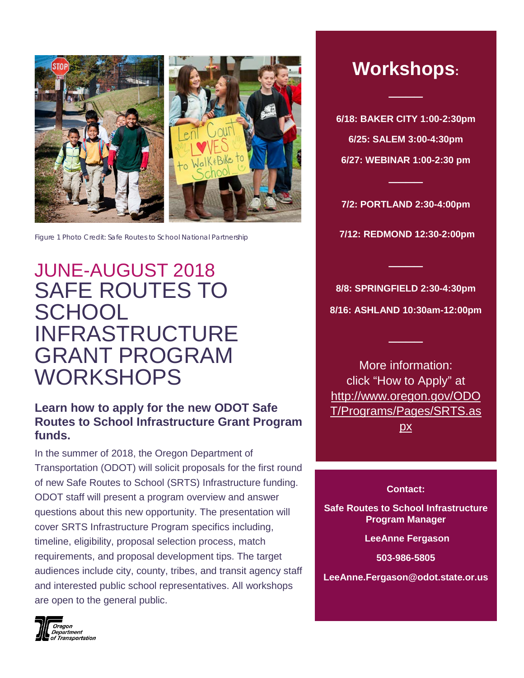

*Figure 1 Photo Credit: Safe Routes to School National Partnership*

# JUNE-AUGUST 2018 SAFE ROUTES TO **SCHOOL** INFRASTRUCTURE GRANT PROGRAM WORKSHOPS

## **Learn how to apply for the new ODOT Safe Routes to School Infrastructure Grant Program funds.**

In the summer of 2018, the Oregon Department of Transportation (ODOT) will solicit proposals for the first round of new Safe Routes to School (SRTS) Infrastructure funding. ODOT staff will present a program overview and answer questions about this new opportunity. The presentation will cover SRTS Infrastructure Program specifics including, timeline, eligibility, proposal selection process, match requirements, and proposal development tips. The target audiences include city, county, tribes, and transit agency staff and interested public school representatives. All workshops are open to the general public.



**────**

**6/18: BAKER CITY 1:00-2:30pm 6/25: SALEM 3:00-4:30pm 6/27: WEBINAR 1:00-2:30 pm**

**7/2: PORTLAND 2:30-4:00pm**

**────**

**7/12: REDMOND 12:30-2:00pm**

**8/8: SPRINGFIELD 2:30-4:30pm 8/16: ASHLAND 10:30am-12:00pm**

**────**

**────**

More information: click "How to Apply" at [http://www.oregon.gov/ODO](http://www.oregon.gov/ODOT/Programs/Pages/SRTS.aspx) [T/Programs/Pages/SRTS.as](http://www.oregon.gov/ODOT/Programs/Pages/SRTS.aspx) [px](http://www.oregon.gov/ODOT/Programs/Pages/SRTS.aspx)

#### **Contact:**

**Safe Routes to School Infrastructure Program Manager**

**LeeAnne Fergason**

**503-986-5805**

**LeeAnne.Fergason@odot.state.or.us**